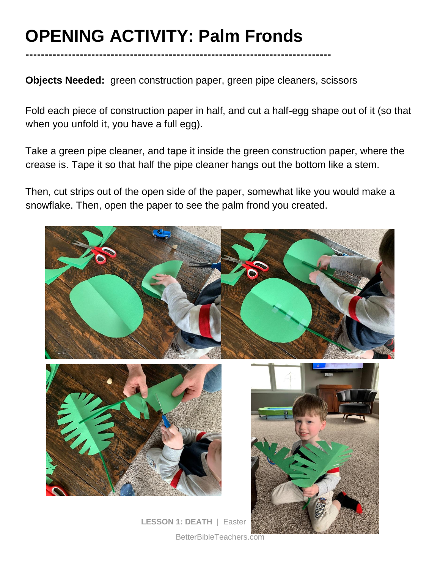# **OPENING ACTIVITY: Palm Fronds**

**-------------------------------------------------------------------------------**

**Objects Needed:** green construction paper, green pipe cleaners, scissors

Fold each piece of construction paper in half, and cut a half-egg shape out of it (so that when you unfold it, you have a full egg).

Take a green pipe cleaner, and tape it inside the green construction paper, where the crease is. Tape it so that half the pipe cleaner hangs out the bottom like a stem.

Then, cut strips out of the open side of the paper, somewhat like you would make a snowflake. Then, open the paper to see the palm frond you created.

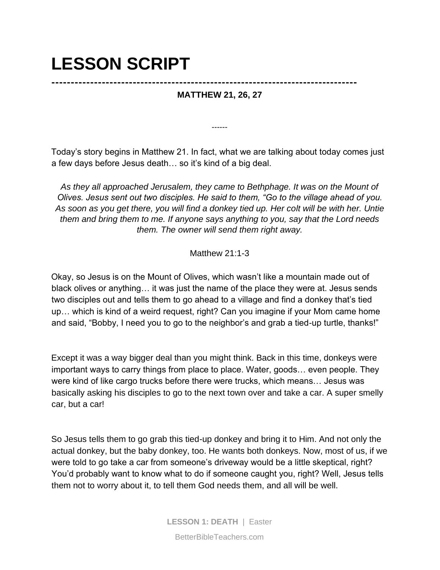### **LESSON SCRIPT**

### **------------------------------------------------------------------------------- MATTHEW 21, 26, 27**

Today's story begins in Matthew 21. In fact, what we are talking about today comes just a few days before Jesus death… so it's kind of a big deal.

------

*As they all approached Jerusalem, they came to Bethphage. It was on the Mount of Olives. Jesus sent out two disciples. He said to them, "Go to the village ahead of you. As soon as you get there, you will find a donkey tied up. Her colt will be with her. Untie them and bring them to me. If anyone says anything to you, say that the Lord needs them. The owner will send them right away.* 

#### Matthew 21:1-3

Okay, so Jesus is on the Mount of Olives, which wasn't like a mountain made out of black olives or anything… it was just the name of the place they were at. Jesus sends two disciples out and tells them to go ahead to a village and find a donkey that's tied up… which is kind of a weird request, right? Can you imagine if your Mom came home and said, "Bobby, I need you to go to the neighbor's and grab a tied-up turtle, thanks!"

Except it was a way bigger deal than you might think. Back in this time, donkeys were important ways to carry things from place to place. Water, goods… even people. They were kind of like cargo trucks before there were trucks, which means… Jesus was basically asking his disciples to go to the next town over and take a car. A super smelly car, but a car!

So Jesus tells them to go grab this tied-up donkey and bring it to Him. And not only the actual donkey, but the baby donkey, too. He wants both donkeys. Now, most of us, if we were told to go take a car from someone's driveway would be a little skeptical, right? You'd probably want to know what to do if someone caught you, right? Well, Jesus tells them not to worry about it, to tell them God needs them, and all will be well.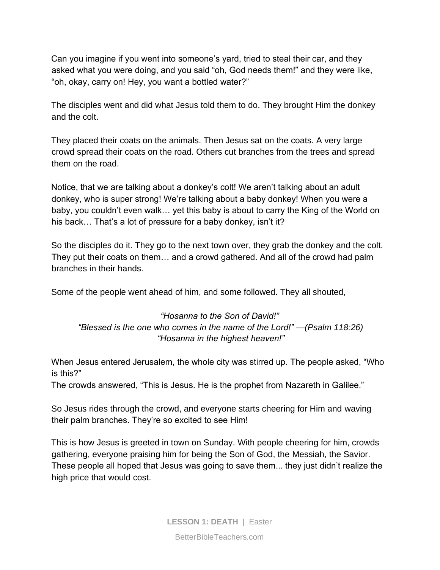Can you imagine if you went into someone's yard, tried to steal their car, and they asked what you were doing, and you said "oh, God needs them!" and they were like, "oh, okay, carry on! Hey, you want a bottled water?"

The disciples went and did what Jesus told them to do. They brought Him the donkey and the colt.

They placed their coats on the animals. Then Jesus sat on the coats. A very large crowd spread their coats on the road. Others cut branches from the trees and spread them on the road.

Notice, that we are talking about a donkey's colt! We aren't talking about an adult donkey, who is super strong! We're talking about a baby donkey! When you were a baby, you couldn't even walk… yet this baby is about to carry the King of the World on his back... That's a lot of pressure for a baby donkey, isn't it?

So the disciples do it. They go to the next town over, they grab the donkey and the colt. They put their coats on them… and a crowd gathered. And all of the crowd had palm branches in their hands.

Some of the people went ahead of him, and some followed. They all shouted,

#### *"Hosanna to the Son of David!" "Blessed is the one who comes in the name of the Lord!" —(Psalm 118:26) "Hosanna in the highest heaven!"*

When Jesus entered Jerusalem, the whole city was stirred up. The people asked, "Who is this?"

The crowds answered, "This is Jesus. He is the prophet from Nazareth in Galilee."

So Jesus rides through the crowd, and everyone starts cheering for Him and waving their palm branches. They're so excited to see Him!

This is how Jesus is greeted in town on Sunday. With people cheering for him, crowds gathering, everyone praising him for being the Son of God, the Messiah, the Savior. These people all hoped that Jesus was going to save them... they just didn't realize the high price that would cost.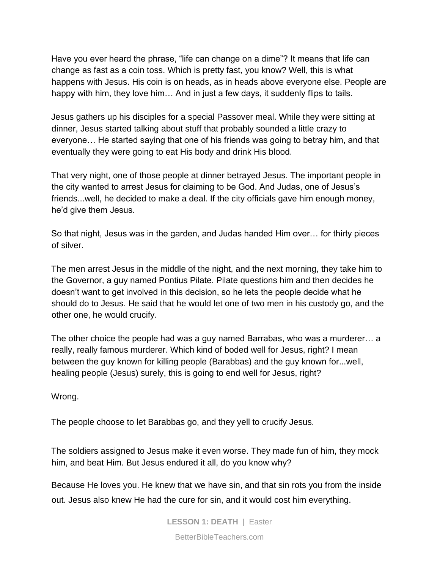Have you ever heard the phrase, "life can change on a dime"? It means that life can change as fast as a coin toss. Which is pretty fast, you know? Well, this is what happens with Jesus. His coin is on heads, as in heads above everyone else. People are happy with him, they love him… And in just a few days, it suddenly flips to tails.

Jesus gathers up his disciples for a special Passover meal. While they were sitting at dinner, Jesus started talking about stuff that probably sounded a little crazy to everyone… He started saying that one of his friends was going to betray him, and that eventually they were going to eat His body and drink His blood.

That very night, one of those people at dinner betrayed Jesus. The important people in the city wanted to arrest Jesus for claiming to be God. And Judas, one of Jesus's friends...well, he decided to make a deal. If the city officials gave him enough money, he'd give them Jesus.

So that night, Jesus was in the garden, and Judas handed Him over… for thirty pieces of silver.

The men arrest Jesus in the middle of the night, and the next morning, they take him to the Governor, a guy named Pontius Pilate. Pilate questions him and then decides he doesn't want to get involved in this decision, so he lets the people decide what he should do to Jesus. He said that he would let one of two men in his custody go, and the other one, he would crucify.

The other choice the people had was a guy named Barrabas, who was a murderer… a really, really famous murderer. Which kind of boded well for Jesus, right? I mean between the guy known for killing people (Barabbas) and the guy known for...well, healing people (Jesus) surely, this is going to end well for Jesus, right?

Wrong.

The people choose to let Barabbas go, and they yell to crucify Jesus.

The soldiers assigned to Jesus make it even worse. They made fun of him, they mock him, and beat Him. But Jesus endured it all, do you know why?

Because He loves you. He knew that we have sin, and that sin rots you from the inside out. Jesus also knew He had the cure for sin, and it would cost him everything.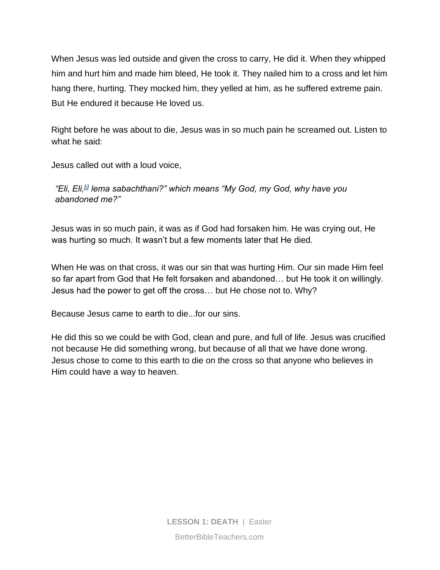When Jesus was led outside and given the cross to carry, He did it. When they whipped him and hurt him and made him bleed, He took it. They nailed him to a cross and let him hang there, hurting. They mocked him, they yelled at him, as he suffered extreme pain. But He endured it because He loved us.

Right before he was about to die, Jesus was in so much pain he screamed out. Listen to what he said:

Jesus called out with a loud voice,

*"Eli, Eli,[\[j\]](https://www.biblegateway.com/passage/?search=Matthew+27&version=NLT#fen-NLT-24149j) lema sabachthani?" which means "My God, my God, why have you abandoned me?"* 

Jesus was in so much pain, it was as if God had forsaken him. He was crying out, He was hurting so much. It wasn't but a few moments later that He died.

When He was on that cross, it was our sin that was hurting Him. Our sin made Him feel so far apart from God that He felt forsaken and abandoned… but He took it on willingly. Jesus had the power to get off the cross… but He chose not to. Why?

Because Jesus came to earth to die...for our sins.

He did this so we could be with God, clean and pure, and full of life. Jesus was crucified not because He did something wrong, but because of all that we have done wrong. Jesus chose to come to this earth to die on the cross so that anyone who believes in Him could have a way to heaven.